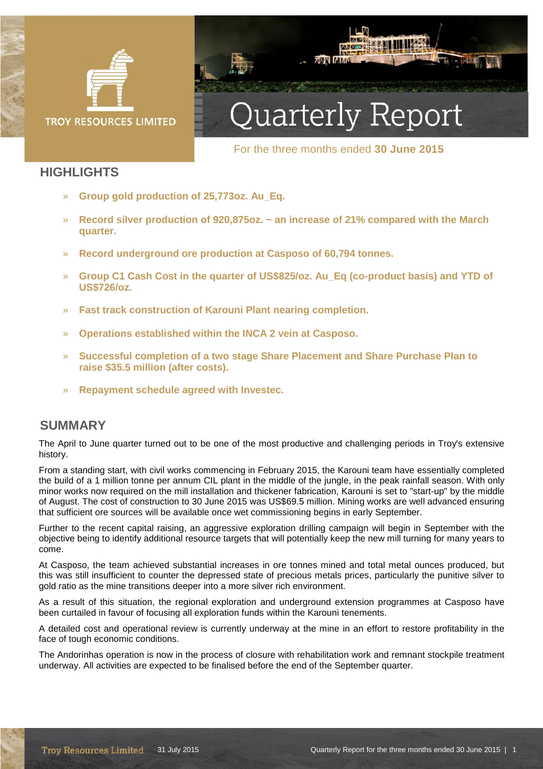

**XXX AM** 

For the three months ended **30 June 2015** 

### **HIGHLIGHTS**

- » **Group gold production of 25,773oz. Au\_Eq.**
- » **Record silver production of 920,875oz. ~ an increase of 21% compared with the March quarter.**
- » **Record underground ore production at Casposo of 60,794 tonnes.**
- » **Group C1 Cash Cost in the quarter of US\$825/oz. Au\_Eq (co-product basis) and YTD of US\$726/oz.**
- » **Fast track construction of Karouni Plant nearing completion.**
- » **Operations established within the INCA 2 vein at Casposo.**
- » **Successful completion of a two stage Share Placement and Share Purchase Plan to raise \$35.5 million (after costs).**
- » **Repayment schedule agreed with Investec.**

### **SUMMARY**

The April to June quarter turned out to be one of the most productive and challenging periods in Troy's extensive history.

From a standing start, with civil works commencing in February 2015, the Karouni team have essentially completed the build of a 1 million tonne per annum CIL plant in the middle of the jungle, in the peak rainfall season. With only minor works now required on the mill installation and thickener fabrication, Karouni is set to "start-up" by the middle of August. The cost of construction to 30 June 2015 was US\$69.5 million. Mining works are well advanced ensuring that sufficient ore sources will be available once wet commissioning begins in early September.

Further to the recent capital raising, an aggressive exploration drilling campaign will begin in September with the objective being to identify additional resource targets that will potentially keep the new mill turning for many years to come.

At Casposo, the team achieved substantial increases in ore tonnes mined and total metal ounces produced, but this was still insufficient to counter the depressed state of precious metals prices, particularly the punitive silver to gold ratio as the mine transitions deeper into a more silver rich environment.

As a result of this situation, the regional exploration and underground extension programmes at Casposo have been curtailed in favour of focusing all exploration funds within the Karouni tenements.

A detailed cost and operational review is currently underway at the mine in an effort to restore profitability in the face of tough economic conditions.

The Andorinhas operation is now in the process of closure with rehabilitation work and remnant stockpile treatment underway. All activities are expected to be finalised before the end of the September quarter.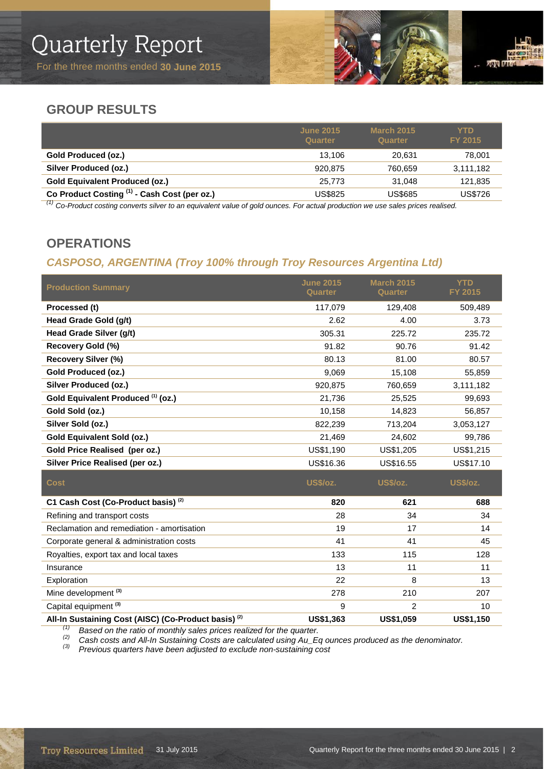

### **GROUP RESULTS**

|                                              | <b>June 2015</b><br>Quarter | <b>March 2015</b><br>Quarter | YTD.<br><b>FY 2015</b> |
|----------------------------------------------|-----------------------------|------------------------------|------------------------|
| Gold Produced (oz.)                          | 13.106                      | 20.631                       | 78,001                 |
| <b>Silver Produced (oz.)</b>                 | 920.875                     | 760.659                      | 3,111,182              |
| <b>Gold Equivalent Produced (oz.)</b>        | 25.773                      | 31.048                       | 121,835                |
| Co Product Costing (1) - Cash Cost (per oz.) | US\$825                     | US\$685                      | <b>US\$726</b>         |
|                                              | .                           | .                            |                        |

*(1) Co-Product costing converts silver to an equivalent value of gold ounces. For actual production we use sales prices realised.*

### **OPERATIONS**

### *CASPOSO, ARGENTINA (Troy 100% through Troy Resources Argentina Ltd)*

| <b>Production Summary</b>                                       | <b>June 2015</b><br>Quarter | <b>March 2015</b><br>Quarter | <b>YTD</b><br>FY 2015 |
|-----------------------------------------------------------------|-----------------------------|------------------------------|-----------------------|
| Processed (t)                                                   | 117,079                     | 129,408                      | 509,489               |
| Head Grade Gold (g/t)                                           | 2.62                        | 4.00                         | 3.73                  |
| Head Grade Silver (g/t)                                         | 305.31                      | 225.72                       | 235.72                |
| Recovery Gold (%)                                               | 91.82                       | 90.76                        | 91.42                 |
| <b>Recovery Silver (%)</b>                                      | 80.13                       | 81.00                        | 80.57                 |
| <b>Gold Produced (oz.)</b>                                      | 9,069                       | 15,108                       | 55,859                |
| Silver Produced (oz.)                                           | 920,875                     | 760,659                      | 3,111,182             |
| Gold Equivalent Produced (1) (oz.)                              | 21,736                      | 25,525                       | 99,693                |
| Gold Sold (oz.)                                                 | 10,158                      | 14,823                       | 56,857                |
| Silver Sold (oz.)                                               | 822,239                     | 713,204                      | 3,053,127             |
| Gold Equivalent Sold (oz.)                                      | 21,469                      | 24,602                       | 99,786                |
| Gold Price Realised (per oz.)                                   | US\$1,190                   | US\$1,205                    | US\$1,215             |
| Silver Price Realised (per oz.)                                 | US\$16.36                   | US\$16.55                    | US\$17.10             |
| <b>Cost</b>                                                     | <b>US\$/oz.</b>             | US\$/oz.                     | <b>US\$/oz.</b>       |
| C1 Cash Cost (Co-Product basis) <sup>(2)</sup>                  | 820                         | 621                          | 688                   |
| Refining and transport costs                                    | 28                          | 34                           | 34                    |
| Reclamation and remediation - amortisation                      | 19                          | 17                           | 14                    |
| Corporate general & administration costs                        | 41                          | 41                           | 45                    |
| Royalties, export tax and local taxes                           | 133                         | 115                          | 128                   |
| Insurance                                                       | 13                          | 11                           | 11                    |
| Exploration                                                     | 22                          | 8                            | 13                    |
| Mine development <sup>(3)</sup>                                 | 278                         | 210                          | 207                   |
| Capital equipment <sup>(3)</sup>                                | 9                           | $\overline{c}$               | 10                    |
| All-In Sustaining Cost (AISC) (Co-Product basis) <sup>(2)</sup> | US\$1,363                   | <b>US\$1059</b>              | <b>US\$1 150</b>      |

**All-** All-In Sustaining Cost (AISC) (Co-Product basis) *Compared US\$1,363* US\$1,059 US\$1,150 US\$1,150 *US\$1,150* US\$1,150 *US\$1,150* US\$1,150 *US\$1,150* US\$1,150 *US\$1,150* US\$1,150 *US\$1,150* US\$1,150 *US\$1,150* US\$1,1

Cased on the ratio of morning sales priose results a form of space.<br>Cash costs and All-In Sustaining Costs are calculated using Au\_Eq ounces produced as the denominator.<br><sup>(3)</sup> Previous quarters have been adjusted to exclu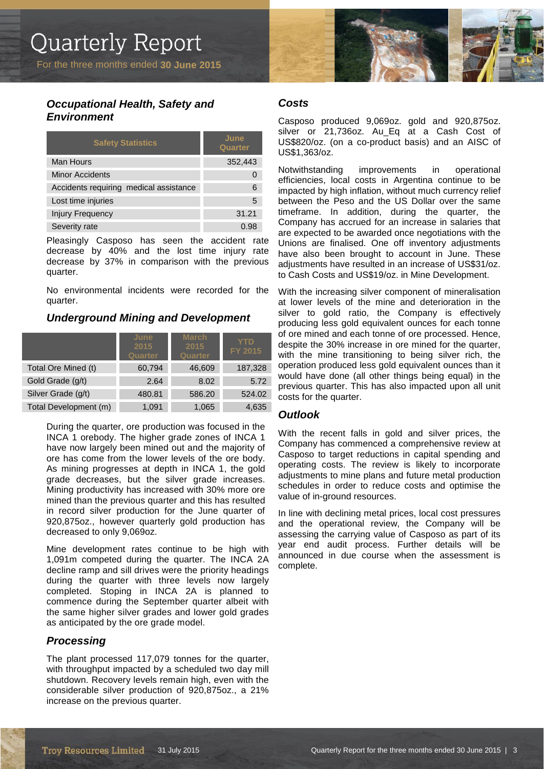### *Occupational Health, Safety and Environment*

| <b>Safety Statistics</b>               | June<br><b>Quarter</b> |
|----------------------------------------|------------------------|
| Man Hours                              | 352,443                |
| <b>Minor Accidents</b>                 |                        |
| Accidents requiring medical assistance | 6                      |
| Lost time injuries                     | 5                      |
| <b>Injury Frequency</b>                | 31.21                  |
| Severity rate                          | 0.98                   |

Pleasingly Casposo has seen the accident rate decrease by 40% and the lost time injury rate decrease by 37% in comparison with the previous quarter.

No environmental incidents were recorded for the quarter.

### *Underground Mining and Development*

|                       | June<br>2015<br><b>Quarter</b> | <b>March</b><br>2015<br>Quarter | <b>YTD</b><br>FY 2015 |
|-----------------------|--------------------------------|---------------------------------|-----------------------|
| Total Ore Mined (t)   | 60,794                         | 46,609                          | 187,328               |
| Gold Grade (g/t)      | 2.64                           | 8.02                            | 5.72                  |
| Silver Grade (g/t)    | 480.81                         | 586.20                          | 524.02                |
| Total Development (m) | 1,091                          | 1,065                           | 4,635                 |

During the quarter, ore production was focused in the INCA 1 orebody. The higher grade zones of INCA 1 have now largely been mined out and the majority of ore has come from the lower levels of the ore body. As mining progresses at depth in INCA 1, the gold grade decreases, but the silver grade increases. Mining productivity has increased with 30% more ore mined than the previous quarter and this has resulted in record silver production for the June quarter of 920,875oz., however quarterly gold production has decreased to only 9,069oz.

Mine development rates continue to be high with 1,091m competed during the quarter. The INCA 2A decline ramp and sill drives were the priority headings during the quarter with three levels now largely completed. Stoping in INCA 2A is planned to commence during the September quarter albeit with the same higher silver grades and lower gold grades as anticipated by the ore grade model.

### *Processing*

The plant processed 117,079 tonnes for the quarter, with throughput impacted by a scheduled two day mill shutdown. Recovery levels remain high, even with the considerable silver production of 920,875oz., a 21% increase on the previous quarter.



### *Costs*

Casposo produced 9,069oz. gold and 920,875oz. silver or 21,736oz. Au\_Eq at a Cash Cost of US\$820/oz. (on a co-product basis) and an AISC of US\$1,363/oz.

Notwithstanding improvements in operational efficiencies, local costs in Argentina continue to be impacted by high inflation, without much currency relief between the Peso and the US Dollar over the same timeframe. In addition, during the quarter, the Company has accrued for an increase in salaries that are expected to be awarded once negotiations with the Unions are finalised. One off inventory adjustments have also been brought to account in June. These adjustments have resulted in an increase of US\$31/oz. to Cash Costs and US\$19/oz. in Mine Development.

With the increasing silver component of mineralisation at lower levels of the mine and deterioration in the silver to gold ratio, the Company is effectively producing less gold equivalent ounces for each tonne of ore mined and each tonne of ore processed. Hence, despite the 30% increase in ore mined for the quarter, with the mine transitioning to being silver rich, the operation produced less gold equivalent ounces than it would have done (all other things being equal) in the previous quarter. This has also impacted upon all unit costs for the quarter.

### *Outlook*

With the recent falls in gold and silver prices, the Company has commenced a comprehensive review at Casposo to target reductions in capital spending and operating costs. The review is likely to incorporate adjustments to mine plans and future metal production schedules in order to reduce costs and optimise the value of in-ground resources.

In line with declining metal prices, local cost pressures and the operational review, the Company will be assessing the carrying value of Casposo as part of its year end audit process. Further details will be announced in due course when the assessment is complete.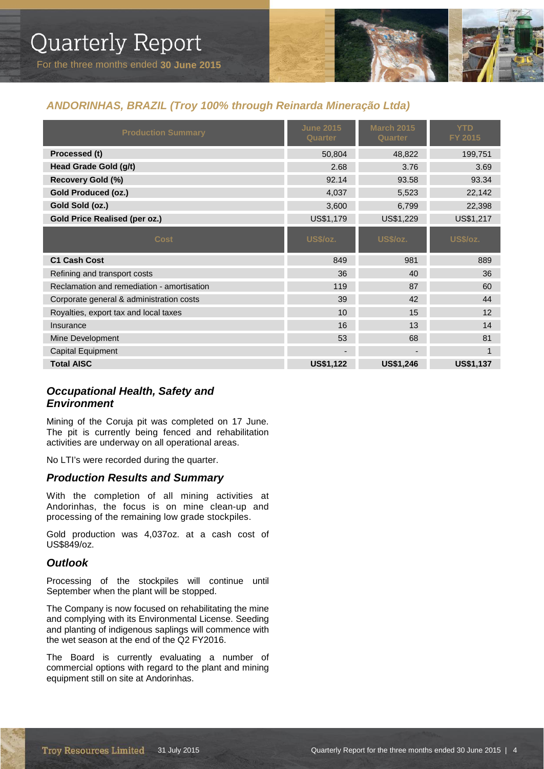

### *ANDORINHAS, BRAZIL (Troy 100% through Reinarda Mineração Ltda)*

| <b>Production Summary</b>                  | <b>June 2015</b><br>Quarter | <b>March 2015</b><br><b>Quarter</b> | <b>YTD</b><br>FY 2015 |
|--------------------------------------------|-----------------------------|-------------------------------------|-----------------------|
| Processed (t)                              | 50,804                      | 48,822                              | 199,751               |
| <b>Head Grade Gold (g/t)</b>               | 2.68                        | 3.76                                | 3.69                  |
| Recovery Gold (%)                          | 92.14                       | 93.58                               | 93.34                 |
| <b>Gold Produced (oz.)</b>                 | 4,037                       | 5,523                               | 22,142                |
| Gold Sold (oz.)                            | 3,600                       | 6,799                               | 22,398                |
| <b>Gold Price Realised (per oz.)</b>       | US\$1,179                   | US\$1,229                           | US\$1,217             |
| <b>Cost</b>                                | <b>US\$/oz.</b>             | <b>US\$/oz.</b>                     | <b>US\$/oz.</b>       |
| <b>C1 Cash Cost</b>                        | 849                         | 981                                 | 889                   |
| Refining and transport costs               | 36                          | 40                                  | 36                    |
| Reclamation and remediation - amortisation | 119                         | 87                                  | 60                    |
| Corporate general & administration costs   | 39                          | 42                                  | 44                    |
| Royalties, export tax and local taxes      | 10                          | 15                                  | 12                    |
| Insurance                                  | 16                          | 13                                  | 14                    |
| Mine Development                           | 53                          | 68                                  | 81                    |
| <b>Capital Equipment</b>                   |                             |                                     | $\mathbf{1}$          |
| <b>Total AISC</b>                          | <b>US\$1,122</b>            | <b>US\$1,246</b>                    | <b>US\$1,137</b>      |

### *Occupational Health, Safety and Environment*

Mining of the Coruja pit was completed on 17 June. The pit is currently being fenced and rehabilitation activities are underway on all operational areas.

No LTI's were recorded during the quarter.

### *Production Results and Summary*

With the completion of all mining activities at Andorinhas, the focus is on mine clean-up and processing of the remaining low grade stockpiles.

Gold production was 4,037oz. at a cash cost of US\$849/oz.

### *Outlook*

Processing of the stockpiles will continue until September when the plant will be stopped.

The Company is now focused on rehabilitating the mine and complying with its Environmental License. Seeding and planting of indigenous saplings will commence with the wet season at the end of the Q2 FY2016.

The Board is currently evaluating a number of commercial options with regard to the plant and mining equipment still on site at Andorinhas.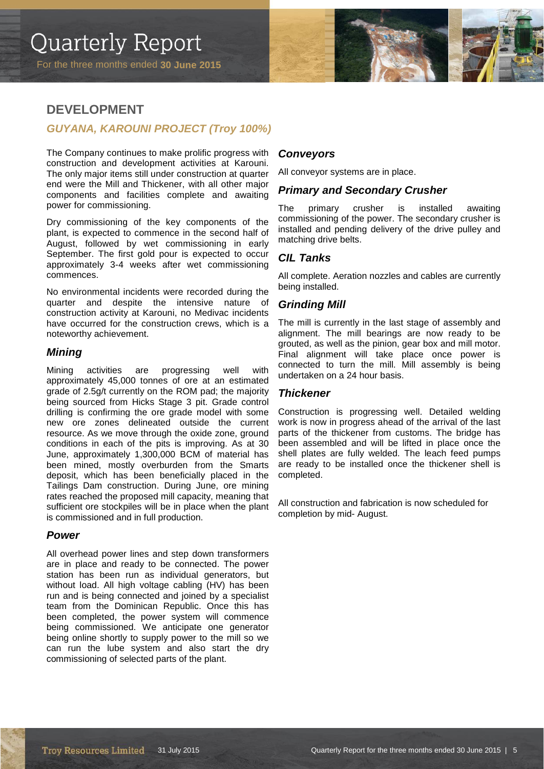

### **DEVELOPMENT**

### *GUYANA, KAROUNI PROJECT (Troy 100%)*

The Company continues to make prolific progress with construction and development activities at Karouni. The only major items still under construction at quarter end were the Mill and Thickener, with all other major components and facilities complete and awaiting power for commissioning.

Dry commissioning of the key components of the plant, is expected to commence in the second half of August, followed by wet commissioning in early September. The first gold pour is expected to occur approximately 3-4 weeks after wet commissioning commences.

No environmental incidents were recorded during the quarter and despite the intensive nature of construction activity at Karouni, no Medivac incidents have occurred for the construction crews, which is a noteworthy achievement.

### *Mining*

Mining activities are progressing well with approximately 45,000 tonnes of ore at an estimated grade of 2.5g/t currently on the ROM pad; the majority being sourced from Hicks Stage 3 pit. Grade control drilling is confirming the ore grade model with some new ore zones delineated outside the current resource. As we move through the oxide zone, ground conditions in each of the pits is improving. As at 30 June, approximately 1,300,000 BCM of material has been mined, mostly overburden from the Smarts deposit, which has been beneficially placed in the Tailings Dam construction. During June, ore mining rates reached the proposed mill capacity, meaning that sufficient ore stockpiles will be in place when the plant is commissioned and in full production.

### *Power*

All overhead power lines and step down transformers are in place and ready to be connected. The power station has been run as individual generators, but without load. All high voltage cabling (HV) has been run and is being connected and joined by a specialist team from the Dominican Republic. Once this has been completed, the power system will commence being commissioned. We anticipate one generator being online shortly to supply power to the mill so we can run the lube system and also start the dry commissioning of selected parts of the plant.

### *Conveyors*

All conveyor systems are in place.

### *Primary and Secondary Crusher*

The primary crusher is installed awaiting commissioning of the power. The secondary crusher is installed and pending delivery of the drive pulley and matching drive belts.

### *CIL Tanks*

All complete. Aeration nozzles and cables are currently being installed.

### *Grinding Mill*

The mill is currently in the last stage of assembly and alignment. The mill bearings are now ready to be grouted, as well as the pinion, gear box and mill motor. Final alignment will take place once power is connected to turn the mill. Mill assembly is being undertaken on a 24 hour basis.

#### *Thickener*

Construction is progressing well. Detailed welding work is now in progress ahead of the arrival of the last parts of the thickener from customs. The bridge has been assembled and will be lifted in place once the shell plates are fully welded. The leach feed pumps are ready to be installed once the thickener shell is completed.

All construction and fabrication is now scheduled for completion by mid- August.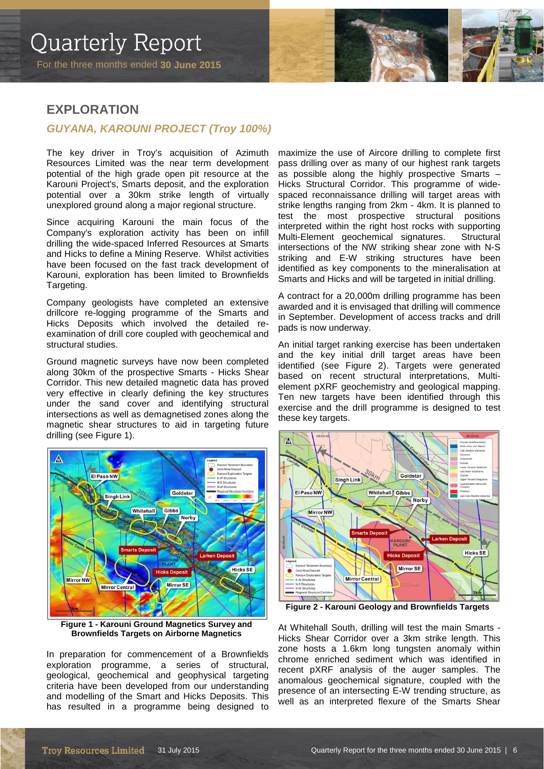### **EXPLORATION**

### *GUYANA, KAROUNI PROJECT (Troy 100%)*

The key driver in Troy's acquisition of Azimuth Resources Limited was the near term development potential of the high grade open pit resource at the Karouni Project's, Smarts deposit, and the exploration potential over a 30km strike length of virtually unexplored ground along a major regional structure.

Since acquiring Karouni the main focus of the Company's exploration activity has been on infill drilling the wide-spaced Inferred Resources at Smarts and Hicks to define a Mining Reserve. Whilst activities have been focused on the fast track development of Karouni, exploration has been limited to Brownfields Targeting.

Company geologists have completed an extensive drillcore re-logging programme of the Smarts and Hicks Deposits which involved the detailed reexamination of drill core coupled with geochemical and structural studies.

Ground magnetic surveys have now been completed along 30km of the prospective Smarts - Hicks Shear Corridor. This new detailed magnetic data has proved very effective in clearly defining the key structures under the sand cover and identifying structural intersections as well as demagnetised zones along the magnetic shear structures to aid in targeting future drilling (see Figure 1).



**Figure 1 - Karouni Ground Magnetics Survey and Brownfields Targets on Airborne Magnetics**

In preparation for commencement of a Brownfields exploration programme, a series of structural, geological, geochemical and geophysical targeting criteria have been developed from our understanding and modelling of the Smart and Hicks Deposits. This has resulted in a programme being designed to

maximize the use of Aircore drilling to complete first pass drilling over as many of our highest rank targets as possible along the highly prospective Smarts – Hicks Structural Corridor. This programme of widespaced reconnaissance drilling will target areas with strike lengths ranging from 2km - 4km. It is planned to test the most prospective structural positions interpreted within the right host rocks with supporting Multi-Element geochemical signatures. Structural intersections of the NW striking shear zone with N-S striking and E-W striking structures have been identified as key components to the mineralisation at Smarts and Hicks and will be targeted in initial drilling.

A contract for a 20,000m drilling programme has been awarded and it is envisaged that drilling will commence in September. Development of access tracks and drill pads is now underway.

An initial target ranking exercise has been undertaken and the key initial drill target areas have been identified (see Figure 2). Targets were generated based on recent structural interpretations, Multielement pXRF geochemistry and geological mapping. Ten new targets have been identified through this exercise and the drill programme is designed to test these key targets.



**Figure 2 - Karouni Geology and Brownfields Targets**

At Whitehall South, drilling will test the main Smarts - Hicks Shear Corridor over a 3km strike length. This zone hosts a 1.6km long tungsten anomaly within chrome enriched sediment which was identified in recent pXRF analysis of the auger samples. The anomalous geochemical signature, coupled with the presence of an intersecting E-W trending structure, as well as an interpreted flexure of the Smarts Shear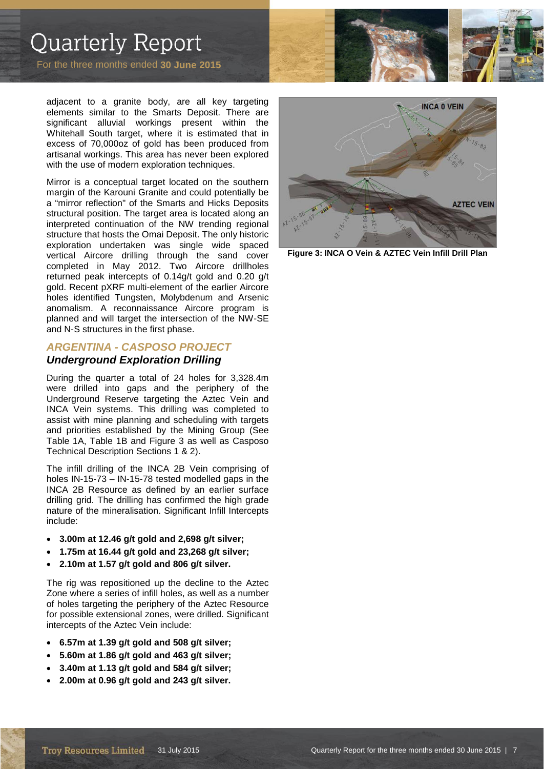For the three months ended **30 June 2015** 

adjacent to a granite body, are all key targeting elements similar to the Smarts Deposit. There are significant alluvial workings present within the Whitehall South target, where it is estimated that in excess of 70,000oz of gold has been produced from artisanal workings. This area has never been explored with the use of modern exploration techniques.

Mirror is a conceptual target located on the southern margin of the Karouni Granite and could potentially be a "mirror reflection" of the Smarts and Hicks Deposits structural position. The target area is located along an interpreted continuation of the NW trending regional structure that hosts the Omai Deposit. The only historic exploration undertaken was single wide spaced vertical Aircore drilling through the sand cover completed in May 2012. Two Aircore drillholes returned peak intercepts of 0.14g/t gold and 0.20 g/t gold. Recent pXRF multi-element of the earlier Aircore holes identified Tungsten, Molybdenum and Arsenic anomalism. A reconnaissance Aircore program is planned and will target the intersection of the NW-SE and N-S structures in the first phase.

### *ARGENTINA - CASPOSO PROJECT Underground Exploration Drilling*

During the quarter a total of 24 holes for 3,328.4m were drilled into gaps and the periphery of the Underground Reserve targeting the Aztec Vein and INCA Vein systems. This drilling was completed to assist with mine planning and scheduling with targets and priorities established by the Mining Group (See Table 1A, Table 1B and Figure 3 as well as Casposo Technical Description Sections 1 & 2).

The infill drilling of the INCA 2B Vein comprising of holes IN-15-73 – IN-15-78 tested modelled gaps in the INCA 2B Resource as defined by an earlier surface drilling grid. The drilling has confirmed the high grade nature of the mineralisation. Significant Infill Intercepts include:

- **3.00m at 12.46 g/t gold and 2,698 g/t silver;**
- **1.75m at 16.44 g/t gold and 23,268 g/t silver;**
- **2.10m at 1.57 g/t gold and 806 g/t silver.**

The rig was repositioned up the decline to the Aztec Zone where a series of infill holes, as well as a number of holes targeting the periphery of the Aztec Resource for possible extensional zones, were drilled. Significant intercepts of the Aztec Vein include:

- **6.57m at 1.39 g/t gold and 508 g/t silver;**
- **5.60m at 1.86 g/t gold and 463 g/t silver;**
- **3.40m at 1.13 g/t gold and 584 g/t silver;**
- **2.00m at 0.96 g/t gold and 243 g/t silver.**



**Figure 3: INCA O Vein & AZTEC Vein Infill Drill Plan**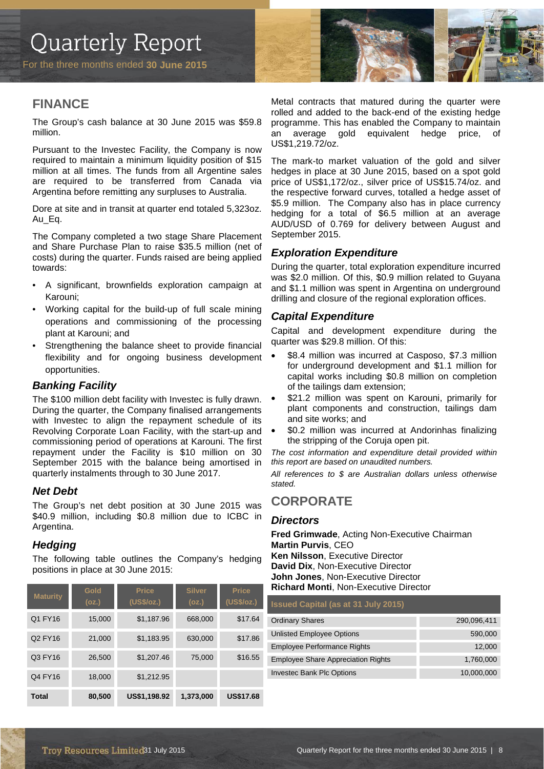For the three months ended **30 June 2015** 



### **FINANCE**

The Group's cash balance at 30 June 2015 was \$59.8 million.

Pursuant to the Investec Facility, the Company is now required to maintain a minimum liquidity position of \$15 million at all times. The funds from all Argentine sales are required to be transferred from Canada via Argentina before remitting any surpluses to Australia.

Dore at site and in transit at quarter end totaled 5,323oz. Au Eq.

The Company completed a two stage Share Placement and Share Purchase Plan to raise \$35.5 million (net of costs) during the quarter. Funds raised are being applied towards:

- A significant, brownfields exploration campaign at Karouni;
- Working capital for the build-up of full scale mining operations and commissioning of the processing plant at Karouni; and
- Strengthening the balance sheet to provide financial flexibility and for ongoing business development opportunities.

### *Banking Facility*

The \$100 million debt facility with Investec is fully drawn. During the quarter, the Company finalised arrangements with Investec to align the repayment schedule of its Revolving Corporate Loan Facility, with the start-up and commissioning period of operations at Karouni. The first repayment under the Facility is \$10 million on 30 September 2015 with the balance being amortised in quarterly instalments through to 30 June 2017.

### *Net Debt*

The Group's net debt position at 30 June 2015 was \$40.9 million, including \$0.8 million due to ICBC in Argentina.

### *Hedging*

The following table outlines the Company's hedging positions in place at 30 June 2015:

| <b>Maturity</b> | Gold<br>(oz.) | <b>Price</b><br>(US\$/oz.) | <b>Silver</b><br>(oz.) | <b>Price</b><br>(US\$/oz.) |
|-----------------|---------------|----------------------------|------------------------|----------------------------|
| Q1 FY16         | 15,000        | \$1,187.96                 | 668,000                | \$17.64                    |
| Q2 FY16         | 21,000        | \$1,183.95                 | 630,000                | \$17.86                    |
| Q3 FY16         | 26,500        | \$1,207.46                 | 75,000                 | \$16.55                    |
| Q4 FY16         | 18,000        | \$1,212.95                 |                        |                            |
| <b>Total</b>    | 80,500        | US\$1,198.92               | 1,373,000              | <b>US\$17.68</b>           |

Metal contracts that matured during the quarter were rolled and added to the back-end of the existing hedge programme. This has enabled the Company to maintain an average gold equivalent hedge price, of US\$1,219.72/oz.

The mark-to market valuation of the gold and silver hedges in place at 30 June 2015, based on a spot gold price of US\$1,172/oz., silver price of US\$15.74/oz. and the respective forward curves, totalled a hedge asset of \$5.9 million. The Company also has in place currency hedging for a total of \$6.5 million at an average AUD/USD of 0.769 for delivery between August and September 2015.

### *Exploration Expenditure*

During the quarter, total exploration expenditure incurred was \$2.0 million. Of this, \$0.9 million related to Guyana and \$1.1 million was spent in Argentina on underground drilling and closure of the regional exploration offices.

### *Capital Expenditure*

Capital and development expenditure during the quarter was \$29.8 million. Of this:

- \$8.4 million was incurred at Casposo, \$7.3 million for underground development and \$1.1 million for capital works including \$0.8 million on completion of the tailings dam extension;
- \$21.2 million was spent on Karouni, primarily for plant components and construction, tailings dam and site works; and
- \$0.2 million was incurred at Andorinhas finalizing the stripping of the Coruja open pit.

*The cost information and expenditure detail provided within this report are based on unaudited numbers.*

*All references to \$ are Australian dollars unless otherwise stated.*

### **CORPORATE**

### *Directors*

**Fred Grimwade**, Acting Non-Executive Chairman **Martin Purvis**, CEO **Ken Nilsson**, Executive Director **David Dix**, Non-Executive Director **John Jones**, Non-Executive Director **Richard Monti**, Non-Executive Director

#### **Issued Capital (as at 31 July 2015)**

| <b>Ordinary Shares</b>                    | 290,096,411 |
|-------------------------------------------|-------------|
| Unlisted Employee Options                 | 590,000     |
| <b>Employee Performance Rights</b>        | 12,000      |
| <b>Employee Share Appreciation Rights</b> | 1,760,000   |
| <b>Investec Bank Plc Options</b>          | 10,000,000  |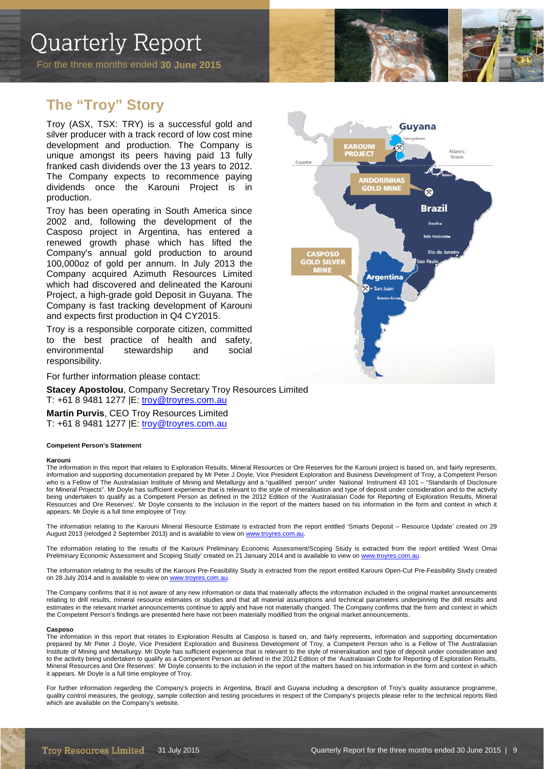### **The "Troy" Story**

Troy (ASX, TSX: TRY) is a successful gold and silver producer with a track record of low cost mine development and production. The Company is unique amongst its peers having paid 13 fully franked cash dividends over the 13 years to 2012. The Company expects to recommence paying dividends once the Karouni Project is in production.

Troy has been operating in South America since 2002 and, following the development of the Casposo project in Argentina, has entered a renewed growth phase which has lifted the Company's annual gold production to around 100,000oz of gold per annum. In July 2013 the Company acquired Azimuth Resources Limited which had discovered and delineated the Karouni Project, a high-grade gold Deposit in Guyana. The Company is fast tracking development of Karouni and expects first production in Q4 CY2015.

Troy is a responsible corporate citizen, committed to the best practice of health and safety, environmental stewardship and social responsibility.

For further information please contact:

**Stacey Apostolou**, Company Secretary Troy Resources Limited T: +61 8 9481 1277 |E: [troy@troyres.com.au](mailto:troy@troyres.com.au) **Martin Purvis**, CEO Troy Resources Limited

T: +61 8 9481 1277 |E: [troy@troyres.com.au](mailto:troy@troyres.com.au)

#### **Competent Person's Statement**

#### **Karouni**

The information in this report that relates to Exploration Results, Mineral Resources or Ore Reserves for the Karouni project is based on, and fairly represents, information and supporting documentation prepared by Mr Peter J Doyle, Vice President Exploration and Business Development of Troy, a Competent Person who is a Fellow of The Australasian Institute of Mining and Metallurgy and a "qualified person" under National Instrument 43 101 - "Standards of Disclosure for Mineral Projects". Mr Doyle has sufficient experience that is relevant to the style of mineralisation and type of deposit under consideration and to the activity being undertaken to qualify as a Competent Person as defined in the 2012 Edition of the 'Australasian Code for Reporting of Exploration Results, Mineral Resources and Ore Reserves'. Mr Doyle consents to the inclusion in the report of the matters based on his information in the form and context in which it appears. Mr Doyle is a full time employee of Troy.

The information relating to the Karouni Mineral Resource Estimate is extracted from the report entitled 'Smarts Deposit – Resource Update' created on 29 August 2013 (relodged 2 September 2013) and is available to view o[n www.troyres.com.au.](http://www.troyres.com.au/) 

The information relating to the results of the Karouni Preliminary Economic Assessment/Scoping Study is extracted from the report entitled 'West Omai Preliminary Economic Assessment and Scoping Study' created on 21 January 2014 and is available to view on www.troyr

The information relating to the results of the Karouni Pre-Feasibility Study is extracted from the report entitled Karouni Open-Cut Pre-Feasibility Study created on 28 July 2014 and is available to view on www.troyre

The Company confirms that it is not aware of any new information or data that materially affects the information included in the original market announcements relating to drill results, mineral resource estimates or studies and that all material assumptions and technical parameters underpinning the drill results and estimates in the relevant market announcements continue to apply and have not materially changed. The Company confirms that the form and context in which the Competent Person's findings are presented here have not been materially modified from the original market announcements.

#### **Casposo**

The information in this report that relates to Exploration Results at Casposo is based on, and fairly represents, information and supporting documentation prepared by Mr Peter J Doyle, Vice President Exploration and Business Development of Troy, a Competent Person who is a Fellow of The Australasian Institute of Mining and Metallurgy. Mr Doyle has sufficient experience that is relevant to the style of mineralisation and type of deposit under consideration and to the activity being undertaken to qualify as a Competent Person as defined in the 2012 Edition of the 'Australasian Code for Reporting of Exploration Results, Mineral Resources and Ore Reserves'. Mr Doyle consents to the inclusion in the report of the matters based on his information in the form and context in which it appears. Mr Doyle is a full time employee of Troy.

For further information regarding the Company's projects in Argentina, Brazil and Guyana including a description of Troy's quality assurance programme, quality control measures, the geology, sample collection and testing procedures in respect of the Company's projects please refer to the technical reports filed which are available on the Company's website.

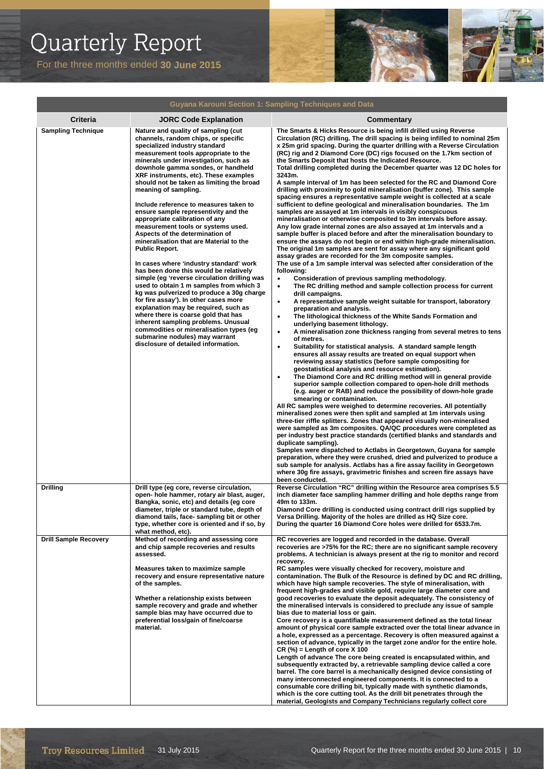

| Guyana Karouni Section 1: Sampling Techniques and Data |                                                                                                                                                                                                                                                                                                                                                                                                                                                                                                                                                                                                                                                                                                                                                                                                                                                                                                                                                                                                                                                                                                                                   |                                                                                                                                                                                                                                                                                                                                                                                                                                                                                                                                                                                                                                                                                                                                                                                                                                                                                                                                                                                                                                                                                                                                                                                                                                                                                                                                                                                                                                                                                                                                                                                                                                                                                                                                                                                                                                                                                                                                                                                                                                                                                                                                                                                                                                                                                                                                                                                                                                                                                                                                                                                                                                                                                                                                                                                                                                                                                                                                                                                                                                                                                                          |  |
|--------------------------------------------------------|-----------------------------------------------------------------------------------------------------------------------------------------------------------------------------------------------------------------------------------------------------------------------------------------------------------------------------------------------------------------------------------------------------------------------------------------------------------------------------------------------------------------------------------------------------------------------------------------------------------------------------------------------------------------------------------------------------------------------------------------------------------------------------------------------------------------------------------------------------------------------------------------------------------------------------------------------------------------------------------------------------------------------------------------------------------------------------------------------------------------------------------|----------------------------------------------------------------------------------------------------------------------------------------------------------------------------------------------------------------------------------------------------------------------------------------------------------------------------------------------------------------------------------------------------------------------------------------------------------------------------------------------------------------------------------------------------------------------------------------------------------------------------------------------------------------------------------------------------------------------------------------------------------------------------------------------------------------------------------------------------------------------------------------------------------------------------------------------------------------------------------------------------------------------------------------------------------------------------------------------------------------------------------------------------------------------------------------------------------------------------------------------------------------------------------------------------------------------------------------------------------------------------------------------------------------------------------------------------------------------------------------------------------------------------------------------------------------------------------------------------------------------------------------------------------------------------------------------------------------------------------------------------------------------------------------------------------------------------------------------------------------------------------------------------------------------------------------------------------------------------------------------------------------------------------------------------------------------------------------------------------------------------------------------------------------------------------------------------------------------------------------------------------------------------------------------------------------------------------------------------------------------------------------------------------------------------------------------------------------------------------------------------------------------------------------------------------------------------------------------------------------------------------------------------------------------------------------------------------------------------------------------------------------------------------------------------------------------------------------------------------------------------------------------------------------------------------------------------------------------------------------------------------------------------------------------------------------------------------------------------------|--|
| <b>Criteria</b>                                        | <b>JORC Code Explanation</b>                                                                                                                                                                                                                                                                                                                                                                                                                                                                                                                                                                                                                                                                                                                                                                                                                                                                                                                                                                                                                                                                                                      | <b>Commentary</b>                                                                                                                                                                                                                                                                                                                                                                                                                                                                                                                                                                                                                                                                                                                                                                                                                                                                                                                                                                                                                                                                                                                                                                                                                                                                                                                                                                                                                                                                                                                                                                                                                                                                                                                                                                                                                                                                                                                                                                                                                                                                                                                                                                                                                                                                                                                                                                                                                                                                                                                                                                                                                                                                                                                                                                                                                                                                                                                                                                                                                                                                                        |  |
| <b>Sampling Technique</b>                              | Nature and quality of sampling (cut<br>channels, random chips, or specific<br>specialized industry standard<br>measurement tools appropriate to the<br>minerals under investigation, such as<br>downhole gamma sondes, or handheld<br>XRF instruments, etc). These examples<br>should not be taken as limiting the broad<br>meaning of sampling.<br>Include reference to measures taken to<br>ensure sample representivity and the<br>appropriate calibration of any<br>measurement tools or systems used.<br>Aspects of the determination of<br>mineralisation that are Material to the<br><b>Public Report.</b><br>In cases where 'industry standard' work<br>has been done this would be relatively<br>simple (eg 'reverse circulation drilling was<br>used to obtain 1 m samples from which 3<br>kg was pulverized to produce a 30g charge<br>for fire assay'). In other cases more<br>explanation may be required, such as<br>where there is coarse gold that has<br>inherent sampling problems. Unusual<br>commodities or mineralisation types (eg<br>submarine nodules) may warrant<br>disclosure of detailed information. | The Smarts & Hicks Resource is being infill drilled using Reverse<br>Circulation (RC) drilling. The drill spacing is being infilled to nominal 25m<br>x 25m grid spacing. During the quarter drilling with a Reverse Circulation<br>(RC) rig and 2 Diamond Core (DC) rigs focused on the 1.7km section of<br>the Smarts Deposit that hosts the Indicated Resource.<br>Total drilling completed during the December quarter was 12 DC holes for<br>3243m.<br>A sample interval of 1m has been selected for the RC and Diamond Core<br>drilling with proximity to gold mineralisation (buffer zone). This sample<br>spacing ensures a representative sample weight is collected at a scale<br>sufficient to define geological and mineralisation boundaries. The 1m<br>samples are assayed at 1m intervals in visibly conspicuous<br>mineralisation or otherwise composited to 3m intervals before assay.<br>Any low grade internal zones are also assayed at 1m intervals and a<br>sample buffer is placed before and after the mineralisation boundary to<br>ensure the assays do not begin or end within high-grade mineralisation.<br>The original 1m samples are sent for assay where any significant gold<br>assay grades are recorded for the 3m composite samples.<br>The use of a 1m sample interval was selected after consideration of the<br>following:<br>$\bullet$<br>Consideration of previous sampling methodology.<br>The RC drilling method and sample collection process for current<br>$\bullet$<br>drill campaigns.<br>A representative sample weight suitable for transport, laboratory<br>$\bullet$<br>preparation and analysis.<br>The lithological thickness of the White Sands Formation and<br>$\bullet$<br>underlying basement lithology.<br>A mineralisation zone thickness ranging from several metres to tens<br>$\bullet$<br>of metres.<br>Suitability for statistical analysis. A standard sample length<br>$\bullet$<br>ensures all assay results are treated on equal support when<br>reviewing assay statistics (before sample compositing for<br>geostatistical analysis and resource estimation).<br>The Diamond Core and RC drilling method will in general provide<br>$\bullet$<br>superior sample collection compared to open-hole drill methods<br>(e.g. auger or RAB) and reduce the possibility of down-hole grade<br>smearing or contamination.<br>All RC samples were weighed to determine recoveries. All potentially<br>mineralised zones were then split and sampled at 1m intervals using<br>three-tier riffle splitters. Zones that appeared visually non-mineralised<br>were sampled as 3m composites. QA/QC procedures were completed as<br>per industry best practice standards (certified blanks and standards and<br>duplicate sampling).<br>Samples were dispatched to Actlabs in Georgetown, Guyana for sample<br>preparation, where they were crushed, dried and pulverized to produce a<br>sub sample for analysis. Actlabs has a fire assay facility in Georgetown<br>where 30g fire assays, gravimetric finishes and screen fire assays have |  |
| <b>Drilling</b>                                        | Drill type (eg core, reverse circulation,<br>open- hole hammer, rotary air blast, auger,<br>Bangka, sonic, etc) and details (eg core<br>diameter, triple or standard tube, depth of<br>diamond tails, face-sampling bit or other<br>type, whether core is oriented and if so, by<br>what method, etc).                                                                                                                                                                                                                                                                                                                                                                                                                                                                                                                                                                                                                                                                                                                                                                                                                            | been conducted.<br>Reverse Circulation "RC" drilling within the Resource area comprises 5.5<br>inch diameter face sampling hammer drilling and hole depths range from<br>49m to 133m.<br>Diamond Core drilling is conducted using contract drill rigs supplied by<br>Versa Drilling. Majority of the holes are drilled as HQ Size core.<br>During the quarter 16 Diamond Core holes were drilled for 6533.7m.                                                                                                                                                                                                                                                                                                                                                                                                                                                                                                                                                                                                                                                                                                                                                                                                                                                                                                                                                                                                                                                                                                                                                                                                                                                                                                                                                                                                                                                                                                                                                                                                                                                                                                                                                                                                                                                                                                                                                                                                                                                                                                                                                                                                                                                                                                                                                                                                                                                                                                                                                                                                                                                                                            |  |
| <b>Drill Sample Recovery</b>                           | Method of recording and assessing core<br>and chip sample recoveries and results<br>assessed.<br>Measures taken to maximize sample<br>recovery and ensure representative nature<br>of the samples.<br>Whether a relationship exists between<br>sample recovery and grade and whether<br>sample bias may have occurred due to<br>preferential loss/gain of fine/coarse<br>material.                                                                                                                                                                                                                                                                                                                                                                                                                                                                                                                                                                                                                                                                                                                                                | RC recoveries are logged and recorded in the database. Overall<br>recoveries are >75% for the RC; there are no significant sample recovery<br>problems. A technician is always present at the rig to monitor and record<br>recovery.<br>RC samples were visually checked for recovery, moisture and<br>contamination. The Bulk of the Resource is defined by DC and RC drilling,<br>which have high sample recoveries. The style of mineralisation, with<br>frequent high-grades and visible gold, require large diameter core and<br>good recoveries to evaluate the deposit adequately. The consistency of<br>the mineralised intervals is considered to preclude any issue of sample<br>bias due to material loss or gain.<br>Core recovery is a quantifiable measurement defined as the total linear<br>amount of physical core sample extracted over the total linear advance in<br>a hole, expressed as a percentage. Recovery is often measured against a<br>section of advance, typically in the target zone and/or for the entire hole.<br>$CR$ (%) = Length of core X 100<br>Length of advance The core being created is encapsulated within, and<br>subsequently extracted by, a retrievable sampling device called a core<br>barrel. The core barrel is a mechanically designed device consisting of<br>many interconnected engineered components. It is connected to a<br>consumable core drilling bit, typically made with synthetic diamonds,<br>which is the core cutting tool. As the drill bit penetrates through the<br>material, Geologists and Company Technicians regularly collect core                                                                                                                                                                                                                                                                                                                                                                                                                                                                                                                                                                                                                                                                                                                                                                                                                                                                                                                                                                                                                                                                                                                                                                                                                                                                                                                                                                                                                                                                                           |  |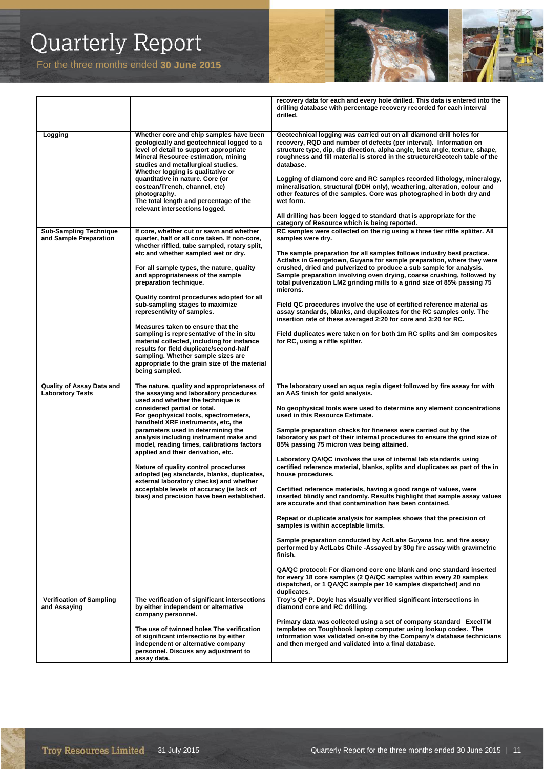

|                                                         |                                                                                                                                                                                                                                                                                                                                                                                                                                                                                                                                                                                                                                                                                                 | recovery data for each and every hole drilled. This data is entered into the<br>drilling database with percentage recovery recorded for each interval<br>drilled.                                                                                                                                                                                                                                                                                                                                                                                                                                                                                                                                                                                                                                                                                                                                                                                                                                                                                                                                                                                                                                                                                                                                                           |
|---------------------------------------------------------|-------------------------------------------------------------------------------------------------------------------------------------------------------------------------------------------------------------------------------------------------------------------------------------------------------------------------------------------------------------------------------------------------------------------------------------------------------------------------------------------------------------------------------------------------------------------------------------------------------------------------------------------------------------------------------------------------|-----------------------------------------------------------------------------------------------------------------------------------------------------------------------------------------------------------------------------------------------------------------------------------------------------------------------------------------------------------------------------------------------------------------------------------------------------------------------------------------------------------------------------------------------------------------------------------------------------------------------------------------------------------------------------------------------------------------------------------------------------------------------------------------------------------------------------------------------------------------------------------------------------------------------------------------------------------------------------------------------------------------------------------------------------------------------------------------------------------------------------------------------------------------------------------------------------------------------------------------------------------------------------------------------------------------------------|
| Logging                                                 | Whether core and chip samples have been<br>geologically and geotechnical logged to a<br>level of detail to support appropriate<br>Mineral Resource estimation, mining<br>studies and metallurgical studies.<br>Whether logging is qualitative or<br>quantitative in nature. Core (or<br>costean/Trench, channel, etc)<br>photography.<br>The total length and percentage of the<br>relevant intersections logged.                                                                                                                                                                                                                                                                               | Geotechnical logging was carried out on all diamond drill holes for<br>recovery, RQD and number of defects (per interval). Information on<br>structure type, dip, dip direction, alpha angle, beta angle, texture, shape,<br>roughness and fill material is stored in the structure/Geotech table of the<br>database.<br>Logging of diamond core and RC samples recorded lithology, mineralogy,<br>mineralisation, structural (DDH only), weathering, alteration, colour and<br>other features of the samples. Core was photographed in both dry and<br>wet form.<br>All drilling has been logged to standard that is appropriate for the<br>category of Resource which is being reported.                                                                                                                                                                                                                                                                                                                                                                                                                                                                                                                                                                                                                                  |
| <b>Sub-Sampling Technique</b><br>and Sample Preparation | If core, whether cut or sawn and whether<br>quarter, half or all core taken. If non-core,<br>whether riffled, tube sampled, rotary split,<br>etc and whether sampled wet or dry.<br>For all sample types, the nature, quality<br>and appropriateness of the sample<br>preparation technique.<br>Quality control procedures adopted for all<br>sub-sampling stages to maximize<br>representivity of samples.<br>Measures taken to ensure that the<br>sampling is representative of the in situ<br>material collected, including for instance<br>results for field duplicate/second-half<br>sampling. Whether sample sizes are<br>appropriate to the grain size of the material<br>being sampled. | RC samples were collected on the rig using a three tier riffle splitter. All<br>samples were dry.<br>The sample preparation for all samples follows industry best practice.<br>Actlabs in Georgetown, Guyana for sample preparation, where they were<br>crushed, dried and pulverized to produce a sub sample for analysis.<br>Sample preparation involving oven drying, coarse crushing, followed by<br>total pulverization LM2 grinding mills to a grind size of 85% passing 75<br>microns.<br>Field QC procedures involve the use of certified reference material as<br>assay standards, blanks, and duplicates for the RC samples only. The<br>insertion rate of these averaged 2:20 for core and 3:20 for RC.<br>Field duplicates were taken on for both 1m RC splits and 3m composites<br>for RC, using a riffle splitter.                                                                                                                                                                                                                                                                                                                                                                                                                                                                                            |
| Quality of Assay Data and<br><b>Laboratory Tests</b>    | The nature, quality and appropriateness of<br>the assaying and laboratory procedures<br>used and whether the technique is<br>considered partial or total.<br>For geophysical tools, spectrometers,<br>handheld XRF instruments, etc, the<br>parameters used in determining the<br>analysis including instrument make and<br>model, reading times, calibrations factors<br>applied and their derivation, etc.<br>Nature of quality control procedures<br>adopted (eq standards, blanks, duplicates,<br>external laboratory checks) and whether<br>acceptable levels of accuracy (ie lack of<br>bias) and precision have been established.                                                        | The laboratory used an aqua regia digest followed by fire assay for with<br>an AAS finish for gold analysis.<br>No geophysical tools were used to determine any element concentrations<br>used in this Resource Estimate.<br>Sample preparation checks for fineness were carried out by the<br>laboratory as part of their internal procedures to ensure the grind size of<br>85% passing 75 micron was being attained.<br>Laboratory QA/QC involves the use of internal lab standards using<br>certified reference material, blanks, splits and duplicates as part of the in<br>house procedures.<br>Certified reference materials, having a good range of values, were<br>inserted blindly and randomly. Results highlight that sample assay values<br>are accurate and that contamination has been contained.<br>Repeat or duplicate analysis for samples shows that the precision of<br>samples is within acceptable limits.<br>Sample preparation conducted by ActLabs Guyana Inc. and fire assay<br>performed by ActLabs Chile -Assayed by 30q fire assay with gravimetric<br>finish.<br>QA/QC protocol: For diamond core one blank and one standard inserted<br>for every 18 core samples (2 QA/QC samples within every 20 samples<br>dispatched, or 1 QA/QC sample per 10 samples dispatched) and no<br>duplicates. |
| <b>Verification of Sampling</b><br>and Assaying         | The verification of significant intersections<br>by either independent or alternative<br>company personnel.<br>The use of twinned holes The verification<br>of significant intersections by either<br>independent or alternative company<br>personnel. Discuss any adjustment to<br>assay data.                                                                                                                                                                                                                                                                                                                                                                                                 | Troy's QP P. Doyle has visually verified significant intersections in<br>diamond core and RC drilling.<br>Primary data was collected using a set of company standard ExcelTM<br>templates on Toughbook laptop computer using lookup codes. The<br>information was validated on-site by the Company's database technicians<br>and then merged and validated into a final database.                                                                                                                                                                                                                                                                                                                                                                                                                                                                                                                                                                                                                                                                                                                                                                                                                                                                                                                                           |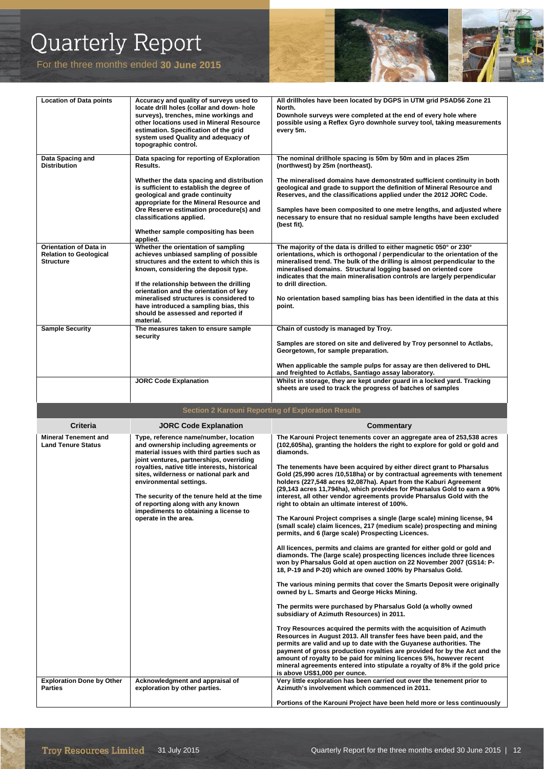For the three months ended **30 June 2015** 



| <b>Location of Data points</b>                                                               | Accuracy and quality of surveys used to<br>locate drill holes (collar and down- hole<br>surveys), trenches, mine workings and<br>other locations used in Mineral Resource<br>estimation. Specification of the grid<br>system used Quality and adequacy of<br>topographic control.                                                                                                                                                                                                      | All drillholes have been located by DGPS in UTM grid PSAD56 Zone 21<br>North.<br>Downhole surveys were completed at the end of every hole where<br>possible using a Reflex Gyro downhole survey tool, taking measurements<br>every 5m.                                                                                                                                                                                                                                                                                                                                                                                                                                                                                                                                                                                                                                                                                                                                                                                                                                                                                                                                                                                                                                                                                                                                                                                                                                                                                                                                                                                                                                                                                                                                                                                                                                                                                |
|----------------------------------------------------------------------------------------------|----------------------------------------------------------------------------------------------------------------------------------------------------------------------------------------------------------------------------------------------------------------------------------------------------------------------------------------------------------------------------------------------------------------------------------------------------------------------------------------|-----------------------------------------------------------------------------------------------------------------------------------------------------------------------------------------------------------------------------------------------------------------------------------------------------------------------------------------------------------------------------------------------------------------------------------------------------------------------------------------------------------------------------------------------------------------------------------------------------------------------------------------------------------------------------------------------------------------------------------------------------------------------------------------------------------------------------------------------------------------------------------------------------------------------------------------------------------------------------------------------------------------------------------------------------------------------------------------------------------------------------------------------------------------------------------------------------------------------------------------------------------------------------------------------------------------------------------------------------------------------------------------------------------------------------------------------------------------------------------------------------------------------------------------------------------------------------------------------------------------------------------------------------------------------------------------------------------------------------------------------------------------------------------------------------------------------------------------------------------------------------------------------------------------------|
| Data Spacing and<br><b>Distribution</b>                                                      | Data spacing for reporting of Exploration<br>Results.                                                                                                                                                                                                                                                                                                                                                                                                                                  | The nominal drillhole spacing is 50m by 50m and in places 25m<br>(northwest) by 25m (northeast).                                                                                                                                                                                                                                                                                                                                                                                                                                                                                                                                                                                                                                                                                                                                                                                                                                                                                                                                                                                                                                                                                                                                                                                                                                                                                                                                                                                                                                                                                                                                                                                                                                                                                                                                                                                                                      |
|                                                                                              | Whether the data spacing and distribution<br>is sufficient to establish the degree of<br>geological and grade continuity<br>appropriate for the Mineral Resource and<br>Ore Reserve estimation procedure(s) and<br>classifications applied.<br>Whether sample compositing has been<br>applied.                                                                                                                                                                                         | The mineralised domains have demonstrated sufficient continuity in both<br>geological and grade to support the definition of Mineral Resource and<br>Reserves, and the classifications applied under the 2012 JORC Code.<br>Samples have been composited to one metre lengths, and adjusted where<br>necessary to ensure that no residual sample lengths have been excluded<br>(best fit).                                                                                                                                                                                                                                                                                                                                                                                                                                                                                                                                                                                                                                                                                                                                                                                                                                                                                                                                                                                                                                                                                                                                                                                                                                                                                                                                                                                                                                                                                                                            |
| <b>Orientation of Data in</b><br><b>Relation to Geological</b><br><b>Structure</b>           | Whether the orientation of sampling<br>achieves unbiased sampling of possible<br>structures and the extent to which this is<br>known, considering the deposit type.<br>If the relationship between the drilling<br>orientation and the orientation of key<br>mineralised structures is considered to<br>have introduced a sampling bias, this<br>should be assessed and reported if<br>material.                                                                                       | The majority of the data is drilled to either magnetic 050° or 230°<br>orientations, which is orthogonal / perpendicular to the orientation of the<br>mineralised trend. The bulk of the drilling is almost perpendicular to the<br>mineralised domains. Structural logging based on oriented core<br>indicates that the main mineralisation controls are largely perpendicular<br>to drill direction.<br>No orientation based sampling bias has been identified in the data at this<br>point.                                                                                                                                                                                                                                                                                                                                                                                                                                                                                                                                                                                                                                                                                                                                                                                                                                                                                                                                                                                                                                                                                                                                                                                                                                                                                                                                                                                                                        |
| <b>Sample Security</b>                                                                       | The measures taken to ensure sample<br>security                                                                                                                                                                                                                                                                                                                                                                                                                                        | Chain of custody is managed by Troy.                                                                                                                                                                                                                                                                                                                                                                                                                                                                                                                                                                                                                                                                                                                                                                                                                                                                                                                                                                                                                                                                                                                                                                                                                                                                                                                                                                                                                                                                                                                                                                                                                                                                                                                                                                                                                                                                                  |
|                                                                                              |                                                                                                                                                                                                                                                                                                                                                                                                                                                                                        | Samples are stored on site and delivered by Troy personnel to Actlabs,<br>Georgetown, for sample preparation.                                                                                                                                                                                                                                                                                                                                                                                                                                                                                                                                                                                                                                                                                                                                                                                                                                                                                                                                                                                                                                                                                                                                                                                                                                                                                                                                                                                                                                                                                                                                                                                                                                                                                                                                                                                                         |
|                                                                                              | <b>JORC Code Explanation</b>                                                                                                                                                                                                                                                                                                                                                                                                                                                           | When applicable the sample pulps for assay are then delivered to DHL<br>and freighted to Actlabs, Santiago assay laboratory.<br>Whilst in storage, they are kept under guard in a locked yard. Tracking                                                                                                                                                                                                                                                                                                                                                                                                                                                                                                                                                                                                                                                                                                                                                                                                                                                                                                                                                                                                                                                                                                                                                                                                                                                                                                                                                                                                                                                                                                                                                                                                                                                                                                               |
|                                                                                              |                                                                                                                                                                                                                                                                                                                                                                                                                                                                                        | sheets are used to track the progress of batches of samples                                                                                                                                                                                                                                                                                                                                                                                                                                                                                                                                                                                                                                                                                                                                                                                                                                                                                                                                                                                                                                                                                                                                                                                                                                                                                                                                                                                                                                                                                                                                                                                                                                                                                                                                                                                                                                                           |
|                                                                                              |                                                                                                                                                                                                                                                                                                                                                                                                                                                                                        |                                                                                                                                                                                                                                                                                                                                                                                                                                                                                                                                                                                                                                                                                                                                                                                                                                                                                                                                                                                                                                                                                                                                                                                                                                                                                                                                                                                                                                                                                                                                                                                                                                                                                                                                                                                                                                                                                                                       |
|                                                                                              | <b>Section 2 Karouni Reporting of Exploration Results</b>                                                                                                                                                                                                                                                                                                                                                                                                                              |                                                                                                                                                                                                                                                                                                                                                                                                                                                                                                                                                                                                                                                                                                                                                                                                                                                                                                                                                                                                                                                                                                                                                                                                                                                                                                                                                                                                                                                                                                                                                                                                                                                                                                                                                                                                                                                                                                                       |
| <b>Criteria</b>                                                                              | <b>JORC Code Explanation</b>                                                                                                                                                                                                                                                                                                                                                                                                                                                           | <b>Commentary</b>                                                                                                                                                                                                                                                                                                                                                                                                                                                                                                                                                                                                                                                                                                                                                                                                                                                                                                                                                                                                                                                                                                                                                                                                                                                                                                                                                                                                                                                                                                                                                                                                                                                                                                                                                                                                                                                                                                     |
| <b>Mineral Tenement and</b><br><b>Land Tenure Status</b><br><b>Exploration Done by Other</b> | Type, reference name/number, location<br>and ownership including agreements or<br>material issues with third parties such as<br>joint ventures, partnerships, overriding<br>royalties, native title interests, historical<br>sites, wilderness or national park and<br>environmental settings.<br>The security of the tenure held at the time<br>of reporting along with any known<br>impediments to obtaining a license to<br>operate in the area.<br>Acknowledgment and appraisal of | The Karouni Project tenements cover an aggregate area of 253,538 acres<br>(102,605ha), granting the holders the right to explore for gold or gold and<br>diamonds.<br>The tenements have been acquired by either direct grant to Pharsalus<br>Gold (25,990 acres /10,518ha) or by contractual agreements with tenement<br>holders (227,548 acres 92,087ha). Apart from the Kaburi Agreement<br>(29,143 acres 11,794ha), which provides for Pharsalus Gold to earn a 90%<br>interest, all other vendor agreements provide Pharsalus Gold with the<br>right to obtain an ultimate interest of 100%.<br>The Karouni Project comprises a single (large scale) mining license, 94<br>(small scale) claim licences, 217 (medium scale) prospecting and mining<br>permits, and 6 (large scale) Prospecting Licences.<br>All licences, permits and claims are granted for either gold or gold and<br>diamonds. The (large scale) prospecting licences include three licences<br>won by Pharsalus Gold at open auction on 22 November 2007 (GS14: P-<br>18, P-19 and P-20) which are owned 100% by Pharsalus Gold.<br>The various mining permits that cover the Smarts Deposit were originally<br>owned by L. Smarts and George Hicks Mining.<br>The permits were purchased by Pharsalus Gold (a wholly owned<br>subsidiary of Azimuth Resources) in 2011.<br>Troy Resources acquired the permits with the acquisition of Azimuth<br>Resources in August 2013. All transfer fees have been paid, and the<br>permits are valid and up to date with the Guyanese authorities. The<br>payment of gross production royalties are provided for by the Act and the<br>amount of royalty to be paid for mining licences 5%, however recent<br>mineral agreements entered into stipulate a royalty of 8% if the gold price<br>is above US\$1,000 per ounce.<br>Very little exploration has been carried out over the tenement prior to |

**exploration by other parties.**

**Parties**

**Portions of the Karouni Project have been held more or less continuously** 

**Azimuth's involvement which commenced in 2011.**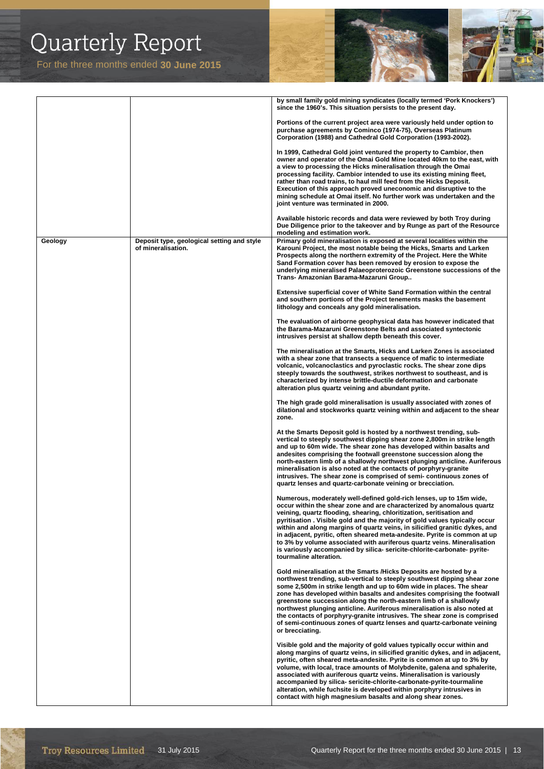

|         |                                                                  | by small family gold mining syndicates (locally termed 'Pork Knockers')<br>since the 1960's. This situation persists to the present day.                                                                                                                                                                                                                                                                                                                                                                                                                                                                                                        |
|---------|------------------------------------------------------------------|-------------------------------------------------------------------------------------------------------------------------------------------------------------------------------------------------------------------------------------------------------------------------------------------------------------------------------------------------------------------------------------------------------------------------------------------------------------------------------------------------------------------------------------------------------------------------------------------------------------------------------------------------|
|         |                                                                  | Portions of the current project area were variously held under option to<br>purchase agreements by Cominco (1974-75), Overseas Platinum<br>Corporation (1988) and Cathedral Gold Corporation (1993-2002).                                                                                                                                                                                                                                                                                                                                                                                                                                       |
|         |                                                                  | In 1999, Cathedral Gold joint ventured the property to Cambior, then<br>owner and operator of the Omai Gold Mine located 40km to the east, with<br>a view to processing the Hicks mineralisation through the Omai<br>processing facility. Cambior intended to use its existing mining fleet,<br>rather than road trains, to haul mill feed from the Hicks Deposit.<br>Execution of this approach proved uneconomic and disruptive to the<br>mining schedule at Omai itself. No further work was undertaken and the<br>joint venture was terminated in 2000.                                                                                     |
|         |                                                                  | Available historic records and data were reviewed by both Troy during<br>Due Diligence prior to the takeover and by Runge as part of the Resource<br>modeling and estimation work.                                                                                                                                                                                                                                                                                                                                                                                                                                                              |
| Geology | Deposit type, geological setting and style<br>of mineralisation. | Primary gold mineralisation is exposed at several localities within the<br>Karouni Project, the most notable being the Hicks, Smarts and Larken<br>Prospects along the northern extremity of the Project. Here the White<br>Sand Formation cover has been removed by erosion to expose the<br>underlying mineralised Palaeoproterozoic Greenstone successions of the<br>Trans- Amazonian Barama-Mazaruni Group                                                                                                                                                                                                                                  |
|         |                                                                  | <b>Extensive superficial cover of White Sand Formation within the central</b><br>and southern portions of the Project tenements masks the basement<br>lithology and conceals any gold mineralisation.                                                                                                                                                                                                                                                                                                                                                                                                                                           |
|         |                                                                  | The evaluation of airborne geophysical data has however indicated that<br>the Barama-Mazaruni Greenstone Belts and associated syntectonic<br>intrusives persist at shallow depth beneath this cover.                                                                                                                                                                                                                                                                                                                                                                                                                                            |
|         |                                                                  | The mineralisation at the Smarts, Hicks and Larken Zones is associated<br>with a shear zone that transects a sequence of mafic to intermediate<br>volcanic, volcanoclastics and pyroclastic rocks. The shear zone dips<br>steeply towards the southwest, strikes northwest to southeast, and is<br>characterized by intense brittle-ductile deformation and carbonate<br>alteration plus quartz veining and abundant pyrite.                                                                                                                                                                                                                    |
|         |                                                                  | The high grade gold mineralisation is usually associated with zones of<br>dilational and stockworks quartz veining within and adjacent to the shear<br>zone.                                                                                                                                                                                                                                                                                                                                                                                                                                                                                    |
|         |                                                                  | At the Smarts Deposit gold is hosted by a northwest trending, sub-<br>vertical to steeply southwest dipping shear zone 2,800m in strike length<br>and up to 60m wide. The shear zone has developed within basalts and<br>andesites comprising the footwall greenstone succession along the<br>north-eastern limb of a shallowly northwest plunging anticline. Auriferous<br>mineralisation is also noted at the contacts of porphyry-granite<br>intrusives. The shear zone is comprised of semi-continuous zones of<br>quartz lenses and quartz-carbonate veining or brecciation.                                                               |
|         |                                                                  | Numerous, moderately well-defined gold-rich lenses, up to 15m wide,<br>occur within the shear zone and are characterized by anomalous quartz<br>veining, quartz flooding, shearing, chloritization, seritisation and<br>pyritisation. Visible gold and the majority of gold values typically occur<br>within and along margins of quartz veins, in silicified granitic dykes, and<br>in adjacent, pyritic, often sheared meta-andesite. Pyrite is common at up<br>to 3% by volume associated with auriferous quartz veins. Mineralisation<br>is variously accompanied by silica- sericite-chlorite-carbonate- pyrite-<br>tourmaline alteration. |
|         |                                                                  | Gold mineralisation at the Smarts /Hicks Deposits are hosted by a<br>northwest trending, sub-vertical to steeply southwest dipping shear zone<br>some 2,500m in strike length and up to 60m wide in places. The shear<br>zone has developed within basalts and andesites comprising the footwall<br>greenstone succession along the north-eastern limb of a shallowly<br>northwest plunging anticline. Auriferous mineralisation is also noted at<br>the contacts of porphyry-granite intrusives. The shear zone is comprised<br>of semi-continuous zones of quartz lenses and quartz-carbonate veining<br>or brecciating.                      |
|         |                                                                  | Visible gold and the majority of gold values typically occur within and<br>along margins of quartz veins, in silicified granitic dykes, and in adjacent,<br>pyritic, often sheared meta-andesite. Pyrite is common at up to 3% by<br>volume, with local, trace amounts of Molybdenite, galena and sphalerite,<br>associated with auriferous quartz veins. Mineralisation is variously<br>accompanied by silica- sericite-chlorite-carbonate-pyrite-tourmaline<br>alteration, while fuchsite is developed within porphyry intrusives in<br>contact with high magnesium basalts and along shear zones.                                            |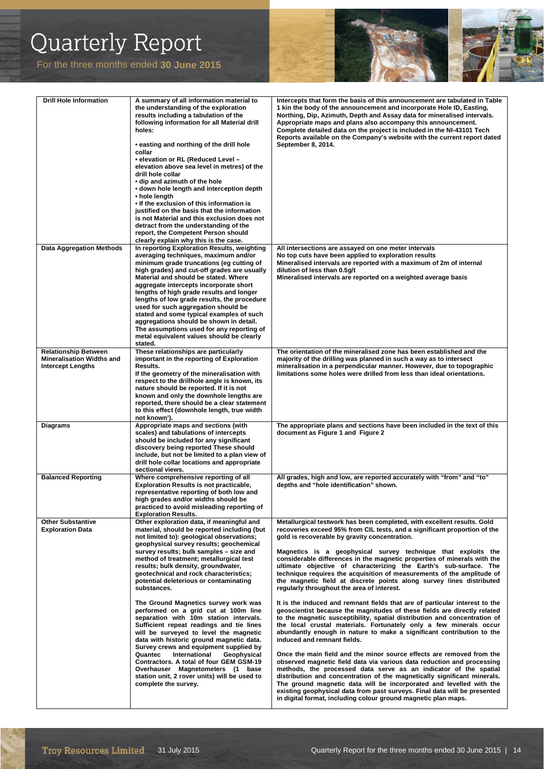

| <b>Drill Hole Information</b>                                                               | A summary of all information material to<br>the understanding of the exploration<br>results including a tabulation of the<br>following information for all Material drill<br>holes:<br>• easting and northing of the drill hole<br>collar<br>• elevation or RL (Reduced Level -<br>elevation above sea level in metres) of the<br>drill hole collar<br>• dip and azimuth of the hole<br>• down hole length and interception depth<br>• hole length<br>. If the exclusion of this information is<br>justified on the basis that the information<br>is not Material and this exclusion does not<br>detract from the understanding of the<br>report, the Competent Person should<br>clearly explain why this is the case.                                                                                                                                                                                                   | Intercepts that form the basis of this announcement are tabulated in Table<br>1 kin the body of the announcement and incorporate Hole ID, Easting,<br>Northing, Dip, Azimuth, Depth and Assay data for mineralised intervals.<br>Appropriate maps and plans also accompany this announcement.<br>Complete detailed data on the project is included in the NI-43101 Tech<br>Reports available on the Company's website with the current report dated<br>September 8, 2014.                                                                                                                                                                                                                                                                                                                                                                                                                                                                                                                                                                                                                                                                                                                                                                                                                                                                                                                                                                                                                                                                                              |
|---------------------------------------------------------------------------------------------|--------------------------------------------------------------------------------------------------------------------------------------------------------------------------------------------------------------------------------------------------------------------------------------------------------------------------------------------------------------------------------------------------------------------------------------------------------------------------------------------------------------------------------------------------------------------------------------------------------------------------------------------------------------------------------------------------------------------------------------------------------------------------------------------------------------------------------------------------------------------------------------------------------------------------|------------------------------------------------------------------------------------------------------------------------------------------------------------------------------------------------------------------------------------------------------------------------------------------------------------------------------------------------------------------------------------------------------------------------------------------------------------------------------------------------------------------------------------------------------------------------------------------------------------------------------------------------------------------------------------------------------------------------------------------------------------------------------------------------------------------------------------------------------------------------------------------------------------------------------------------------------------------------------------------------------------------------------------------------------------------------------------------------------------------------------------------------------------------------------------------------------------------------------------------------------------------------------------------------------------------------------------------------------------------------------------------------------------------------------------------------------------------------------------------------------------------------------------------------------------------------|
| <b>Data Aggregation Methods</b>                                                             | In reporting Exploration Results, weighting<br>averaging techniques, maximum and/or<br>minimum grade truncations (eg cutting of<br>high grades) and cut-off grades are usually<br>Material and should be stated. Where<br>aggregate intercepts incorporate short<br>lengths of high grade results and longer<br>lengths of low grade results, the procedure<br>used for such aggregation should be<br>stated and some typical examples of such<br>aggregations should be shown in detail.<br>The assumptions used for any reporting of<br>metal equivalent values should be clearly<br>stated.                                                                                                                                                                                                                                                                                                                           | All intersections are assayed on one meter intervals<br>No top cuts have been applied to exploration results<br>Mineralised intervals are reported with a maximum of 2m of internal<br>dilution of less than 0.5g/t<br>Mineralised intervals are reported on a weighted average basis                                                                                                                                                                                                                                                                                                                                                                                                                                                                                                                                                                                                                                                                                                                                                                                                                                                                                                                                                                                                                                                                                                                                                                                                                                                                                  |
| <b>Relationship Between</b><br><b>Mineralisation Widths and</b><br><b>Intercept Lengths</b> | These relationships are particularly<br>important in the reporting of Exploration<br>Results.<br>If the geometry of the mineralisation with<br>respect to the drillhole angle is known, its<br>nature should be reported. If it is not<br>known and only the downhole lengths are<br>reported, there should be a clear statement<br>to this effect (downhole length, true width                                                                                                                                                                                                                                                                                                                                                                                                                                                                                                                                          | The orientation of the mineralised zone has been established and the<br>majority of the drilling was planned in such a way as to intersect<br>mineralisation in a perpendicular manner. However, due to topographic<br>limitations some holes were drilled from less than ideal orientations.                                                                                                                                                                                                                                                                                                                                                                                                                                                                                                                                                                                                                                                                                                                                                                                                                                                                                                                                                                                                                                                                                                                                                                                                                                                                          |
| Diagrams                                                                                    | not known').<br>Appropriate maps and sections (with<br>scales) and tabulations of intercepts<br>should be included for any significant<br>discovery being reported These should<br>include, but not be limited to a plan view of<br>drill hole collar locations and appropriate<br>sectional views.                                                                                                                                                                                                                                                                                                                                                                                                                                                                                                                                                                                                                      | The appropriate plans and sections have been included in the text of this<br>document as Figure 1 and Figure 2                                                                                                                                                                                                                                                                                                                                                                                                                                                                                                                                                                                                                                                                                                                                                                                                                                                                                                                                                                                                                                                                                                                                                                                                                                                                                                                                                                                                                                                         |
| <b>Balanced Reporting</b>                                                                   | Where comprehensive reporting of all<br><b>Exploration Results is not practicable,</b><br>representative reporting of both low and<br>high grades and/or widths should be<br>practiced to avoid misleading reporting of<br><b>Exploration Results.</b>                                                                                                                                                                                                                                                                                                                                                                                                                                                                                                                                                                                                                                                                   | All grades, high and low, are reported accurately with "from" and "to"<br>depths and "hole identification" shown.                                                                                                                                                                                                                                                                                                                                                                                                                                                                                                                                                                                                                                                                                                                                                                                                                                                                                                                                                                                                                                                                                                                                                                                                                                                                                                                                                                                                                                                      |
| <b>Other Substantive</b><br><b>Exploration Data</b>                                         | Other exploration data, if meaningful and<br>material, should be reported including (but<br>not limited to): geological observations;<br>geophysical survey results; geochemical<br>survey results; bulk samples - size and<br>method of treatment; metallurgical test<br>results; bulk density, groundwater,<br>geotechnical and rock characteristics;<br>potential deleterious or contaminating<br>substances.<br>The Ground Magnetics survey work was<br>performed on a grid cut at 100m line<br>separation with 10m station intervals.<br>Sufficient repeat readings and tie lines<br>will be surveyed to level the magnetic<br>data with historic ground magnetic data.<br>Survey crews and equipment supplied by<br>Quantec<br>International<br>Geophysical<br>Contractors. A total of four GEM GSM-19<br>Overhauser Magnetometers (1 base<br>station unit, 2 rover units) will be used to<br>complete the survey. | Metallurgical testwork has been completed, with excellent results. Gold<br>recoveries exceed 95% from CIL tests, and a significant proportion of the<br>gold is recoverable by gravity concentration.<br>Magnetics is a geophysical survey technique that exploits the<br>considerable differences in the magnetic properties of minerals with the<br>ultimate objective of characterizing the Earth's sub-surface. The<br>technique requires the acquisition of measurements of the amplitude of<br>the magnetic field at discrete points along survey lines distributed<br>regularly throughout the area of interest.<br>It is the induced and remnant fields that are of particular interest to the<br>geoscientist because the magnitudes of these fields are directly related<br>to the magnetic susceptibility, spatial distribution and concentration of<br>the local crustal materials. Fortunately only a few minerals occur<br>abundantly enough in nature to make a significant contribution to the<br>induced and remnant fields.<br>Once the main field and the minor source effects are removed from the<br>observed magnetic field data via various data reduction and processing<br>methods, the processed data serve as an indicator of the spatial<br>distribution and concentration of the magnetically significant minerals.<br>The ground magnetic data will be incorporated and levelled with the<br>existing geophysical data from past surveys. Final data will be presented<br>in digital format, including colour ground magnetic plan maps. |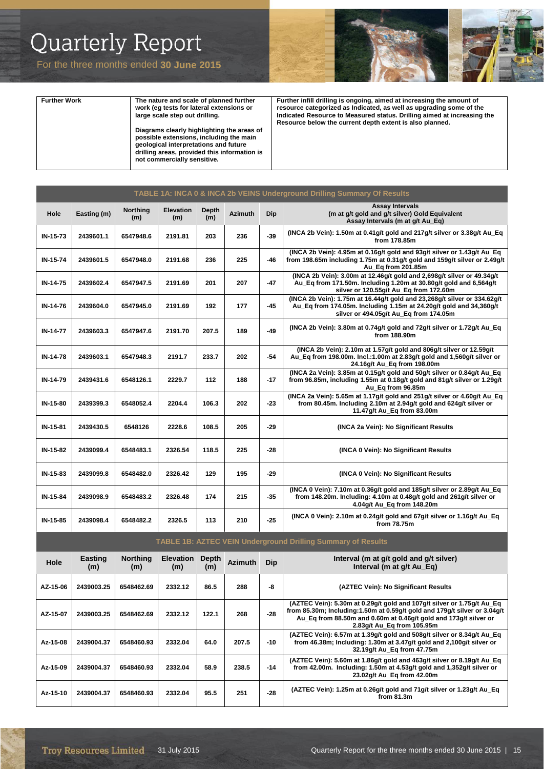

| <b>Further Work</b> | The nature and scale of planned further<br>work (eq tests for lateral extensions or<br>large scale step out drilling.<br>Diagrams clearly highlighting the areas of<br>possible extensions, including the main<br>geological interpretations and future<br>drilling areas, provided this information is<br>not commercially sensitive. | Further infill drilling is ongoing, aimed at increasing the amount of<br>resource categorized as Indicated, as well as upgrading some of the<br>Indicated Resource to Measured status. Drilling aimed at increasing the<br>Resource below the current depth extent is also planned. |
|---------------------|----------------------------------------------------------------------------------------------------------------------------------------------------------------------------------------------------------------------------------------------------------------------------------------------------------------------------------------|-------------------------------------------------------------------------------------------------------------------------------------------------------------------------------------------------------------------------------------------------------------------------------------|

| TABLE 1A: INCA 0 & INCA 2b VEINS Underground Drilling Summary Of Results |             |                        |                  |              |                |       |                                                                                                                                                                                          |  |
|--------------------------------------------------------------------------|-------------|------------------------|------------------|--------------|----------------|-------|------------------------------------------------------------------------------------------------------------------------------------------------------------------------------------------|--|
| Hole                                                                     | Easting (m) | <b>Northing</b><br>(m) | Elevation<br>(m) | Depth<br>(m) | <b>Azimuth</b> | Dip   | <b>Assay Intervals</b><br>(m at q/t gold and g/t silver) Gold Equivalent<br>Assay Intervals (m at g/t Au Eq)                                                                             |  |
| IN-15-73                                                                 | 2439601.1   | 6547948.6              | 2191.81          | 203          | 236            | $-39$ | (INCA 2b Vein): 1.50m at 0.41g/t gold and 217g/t silver or 3.38g/t Au_Eq<br>from 178.85m                                                                                                 |  |
| IN-15-74                                                                 | 2439601.5   | 6547948.0              | 2191.68          | 236          | 225            | $-46$ | (INCA 2b Vein): 4.95m at 0.16g/t gold and 93g/t silver or 1.43g/t Au Eq<br>from 198.65m including 1.75m at 0.31g/t gold and 159g/t silver or 2.49g/t<br>Au_Eq from 201.85m               |  |
| IN-14-75                                                                 | 2439602.4   | 6547947.5              | 2191.69          | 201          | 207            | $-47$ | (INCA 2b Vein): 3.00m at 12.46g/t gold and 2,698g/t silver or 49.34g/t<br>Au_Eq from 171.50m. Including 1.20m at 30.80g/t gold and 6,564g/t<br>silver or 120.55g/t Au_Eq from 172.60m    |  |
| IN-14-76                                                                 | 2439604.0   | 6547945.0              | 2191.69          | 192          | 177            | $-45$ | (INCA 2b Vein): 1.75m at 16.44g/t gold and 23,268g/t silver or 334.62g/t<br>Au Eq from 174.05m. Including 1.15m at 24.20g/t gold and 34,360g/t<br>silver or 494.05g/t Au_Eq from 174.05m |  |
| IN-14-77                                                                 | 2439603.3   | 6547947.6              | 2191.70          | 207.5        | 189            | $-49$ | (INCA 2b Vein): 3.80m at 0.74g/t gold and 72g/t silver or 1.72g/t Au_Eq<br>from 188.90m                                                                                                  |  |
| IN-14-78                                                                 | 2439603.1   | 6547948.3              | 2191.7           | 233.7        | 202            | $-54$ | (INCA 2b Vein): 2.10m at 1.57g/t gold and 806g/t silver or 12.59g/t<br>Au_Eq from 198.00m. Incl.:1.00m at 2.83g/t gold and 1,560g/t silver or<br>24.16g/t Au_Eq from 198.00m             |  |
| IN-14-79                                                                 | 2439431.6   | 6548126.1              | 2229.7           | 112          | 188            | $-17$ | (INCA 2a Vein): 3.85m at 0.15g/t gold and 50g/t silver or 0.84g/t Au Eq<br>from 96.85m, including 1.55m at 0.18g/t gold and 81g/t silver or 1.29g/t<br>Au_Eq from 96.85m                 |  |
| IN-15-80                                                                 | 2439399.3   | 6548052.4              | 2204.4           | 106.3        | 202            | $-23$ | (INCA 2a Vein): 5.65m at 1.17g/t gold and 251g/t silver or 4.60g/t Au Eq<br>from 80.45m. Including 2.10m at 2.94g/t gold and 624g/t silver or<br>11.47g/t Au_Eq from 83.00m              |  |
| IN-15-81                                                                 | 2439430.5   | 6548126                | 2228.6           | 108.5        | 205            | -29   | (INCA 2a Vein): No Significant Results                                                                                                                                                   |  |
| IN-15-82                                                                 | 2439099.4   | 6548483.1              | 2326.54          | 118.5        | 225            | $-28$ | (INCA 0 Vein): No Significant Results                                                                                                                                                    |  |
| IN-15-83                                                                 | 2439099.8   | 6548482.0              | 2326.42          | 129          | 195            | $-29$ | (INCA 0 Vein): No Significant Results                                                                                                                                                    |  |
| IN-15-84                                                                 | 2439098.9   | 6548483.2              | 2326.48          | 174          | 215            | $-35$ | (INCA 0 Vein): 7.10m at 0.36g/t gold and 185g/t silver or 2.89g/t Au Eq<br>from 148.20m. Including: 4.10m at 0.48g/t gold and 261g/t silver or<br>4.04q/t Au Eq from 148.20m             |  |
| IN-15-85                                                                 | 2439098.4   | 6548482.2              | 2326.5           | 113          | 210            | $-25$ | (INCA 0 Vein): 2.10m at 0.24g/t gold and 67g/t silver or 1.16g/t Au_Eq<br>from 78.75m                                                                                                    |  |

| <b>TABLE 1B: AZTEC VEIN Underground Drilling Summary of Results</b> |                       |                        |                         |                     |                |            |                                                                                                                                                                                                                                                       |  |
|---------------------------------------------------------------------|-----------------------|------------------------|-------------------------|---------------------|----------------|------------|-------------------------------------------------------------------------------------------------------------------------------------------------------------------------------------------------------------------------------------------------------|--|
| Hole                                                                | <b>Easting</b><br>(m) | <b>Northing</b><br>(m) | <b>Elevation</b><br>(m) | <b>Depth</b><br>(m) | <b>Azimuth</b> | <b>Dip</b> | Interval (m at g/t gold and g/t silver)<br>Interval (m at q/t Au Eq)                                                                                                                                                                                  |  |
| AZ-15-06                                                            | 2439003.25            | 6548462.69             | 2332.12                 | 86.5                | 288            | -8         | (AZTEC Vein): No Significant Results                                                                                                                                                                                                                  |  |
| AZ-15-07                                                            | 2439003.25            | 6548462.69             | 2332.12                 | 122.1               | 268            | $-28$      | (AZTEC Vein): 5.30m at 0.29g/t gold and 107g/t silver or 1.75g/t Au Eq<br>from 85.30m; Including:1.50m at 0.59g/t gold and 179g/t silver or 3.04g/t<br>Au Eq from 88.50m and 0.60m at 0.46g/t gold and 173g/t silver or<br>2.83g/t Au Eq from 105.95m |  |
| Az-15-08                                                            | 2439004.37            | 6548460.93             | 2332.04                 | 64.0                | 207.5          | $-10$      | (AZTEC Vein): 6.57m at 1.39g/t gold and 508g/t silver or 8.34g/t Au_Eq<br>from 46.38m; Including: 1.30m at 3.47g/t gold and 2,100g/t silver or<br>32.19g/t Au Eg from 47.75m                                                                          |  |
| Az-15-09                                                            | 2439004.37            | 6548460.93             | 2332.04                 | 58.9                | 238.5          | $-14$      | (AZTEC Vein): 5.60m at 1.86q/t gold and 463q/t silver or 8.19q/t Au Eq<br>from 42.00m. Including: 1.50m at 4.53g/t gold and 1,352g/t silver or<br>23.02g/t Au Eq from 42.00m                                                                          |  |
| Az-15-10                                                            | 2439004.37            | 6548460.93             | 2332.04                 | 95.5                | 251            | $-28$      | (AZTEC Vein): 1.25m at 0.26g/t gold and 71g/t silver or 1.23g/t Au_Eq<br>from $81.3m$                                                                                                                                                                 |  |